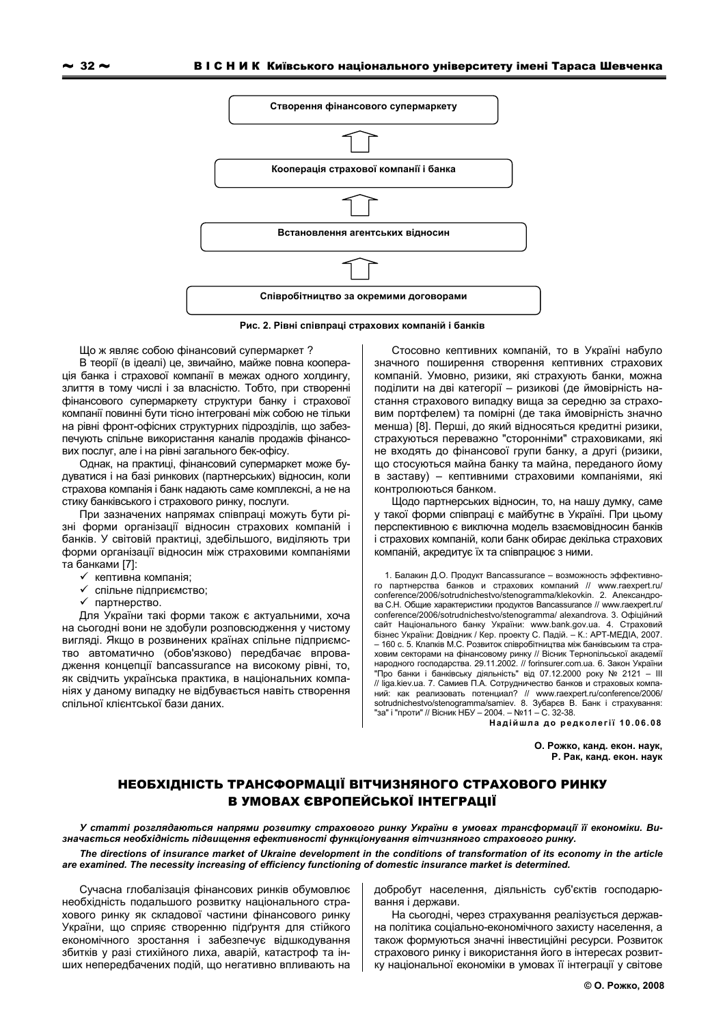

Рис. 2. Рівні співпраці страхових компаній і банків

Що ж являє собою фінансовий супермаркет?

В теорії (в ідеалі) це, звичайно, майже повна кооперація банка і страхової компанії в межах одного холдингу, злиття в тому числі і за власністю. Тобто, при створенні фінансового супермаркету структури банку і страхової компанії повинні бути тісно інтегровані між собою не тільки на рівні фронт-офісних структурних підрозділів, що забезпечують спільне використання каналів продажів фінансових послуг, але і на рівні загального бек-офісу.

Однак, на практиці, фінансовий супермаркет може будуватися і на базі ринкових (партнерських) відносин, коли страхова компанія і банк надають саме комплексні, а не на стику банківського і страхового ринку, послуги.

При зазначених напрямах співпраці можуть бути різні форми організації відносин страхових компаній і банків. У світовій практиці, здебільшого, виділяють три форми організації відносин між страховими компаніями та банками [7]:

- √ кептивна компанія;
- √ спільне підприємство;
- $\checkmark$  партнерство.

Для України такі форми також є актуальними, хоча на сьогодні вони не здобули розповсюдження у чистому вигляді. Якщо в розвинених країнах спільне підприємство автоматично (обов'язково) передбачає впровадження концепції bancassurance на високому рівні, то, як свідчить українська практика, в національних компаніях у даному випадку не відбувається навіть створення спільної клієнтської бази даних.

Стосовно кептивних компаній, то в Україні набуло значного поширення створення кептивних страхових компаній. Умовно, ризики, які страхують банки, можна поділити на дві категорії - ризикові (де ймовірність настання страхового випадку вища за середню за страховим портфелем) та помірні (де така ймовірність значно менша) [8]. Перші, до який відносяться кредитні ризики, страхуються переважно "сторонніми" страховиками, які не входять до фінансової групи банку, а другі (ризики, що стосуються майна банку та майна, переданого йому в заставу) - кептивними страховими компаніями, які контролюються банком.

Щодо партнерських відносин, то, на нашу думку, саме у такої форми співпраці є майбутнє в Україні. При цьому перспективною є виключна модель взаємовідносин банків і страхових компаній, коли банк обирає декілька страхових компаній, акредитує їх та співпрацює з ними.

1. Балакин Д.О. Продукт Bancassurance - возможность эффективного партнерства банков и страхових компаний // www.raexpert.ru/ conference/2006/sotrudnichestvo/stenogramma/klekovkin. 2. Александрова С.Н. Общие характеристики продуктов Bancassurance // www.raexpert.ru/ conference/2006/sotrudnichestvo/stenogramma/ alexandrova. 3. Офіційний сайт Національного банку України: www.bank.gov.ua. 4. Страховий бізнес України: Довідник / Кер. проекту С. Падій. - К.: АРТ-МЕДІА, 2007. - 160 с. 5. Клапків М.С. Розвиток співробітництва між банківським та страховим секторами на фінансовому ринку // Вісник Тернопільської академії народного господарства. 29.11.2002. // forinsurer.com.ua. 6. Закон України<br>"Про банки і банківську діяльність" від 07.12.2000 року № 2121 - III // liga.kiev.ua. 7. Самиев П.А. Сотрудничество банков и страховых компаний: как реализовать потенциал? // www.raexpert.ru/conference/2006/ sotrudnichestvo/stenogramma/samiev. 8. Зубарєв В. Банк і страхування: "за" і "проти" // Вісник НБУ – 2004. – №11 – С. 32-38.

Надійшла до редколегії 10.06.08

О. Рожко, канд. екон. наук, Р. Рак, канд. екон. наук

## НЕОБХІДНІСТЬ ТРАНСФОРМАЦІЇ ВІТЧИЗНЯНОГО СТРАХОВОГО РИНКУ В УМОВАХ ЄВРОПЕЙСЬКОЇ ІНТЕГРАЦІЇ

У статті розглядаються напрями розвитку страхового ринку України в умовах трансформації її економіки. Визначається необхідність підвищення ефективності функціонування вітчизняного страхового ринку.

The directions of insurance market of Ukraine development in the conditions of transformation of its economy in the article are examined. The necessity increasing of efficiency functioning of domestic insurance market is determined.

Сучасна глобалізація фінансових ринків обумовлює необхідність подальшого розвитку національного страхового ринку як складової частини фінансового ринку України, що сприяє створенню підґрунтя для стійкого економічного зростання і забезпечує відшкодування збитків у разі стихійного лиха, аварій, катастроф та інших непередбачених подій, що негативно впливають на

добробут населення, діяльність суб'єктів господарювання і лержави.

На сьогодні, через страхування реалізується державна політика соціально-економічного захисту населення, а також формуються значні інвестиційні ресурси. Розвиток страхового ринку і використання його в інтересах розвитку національної економіки в умовах її інтеграції у світове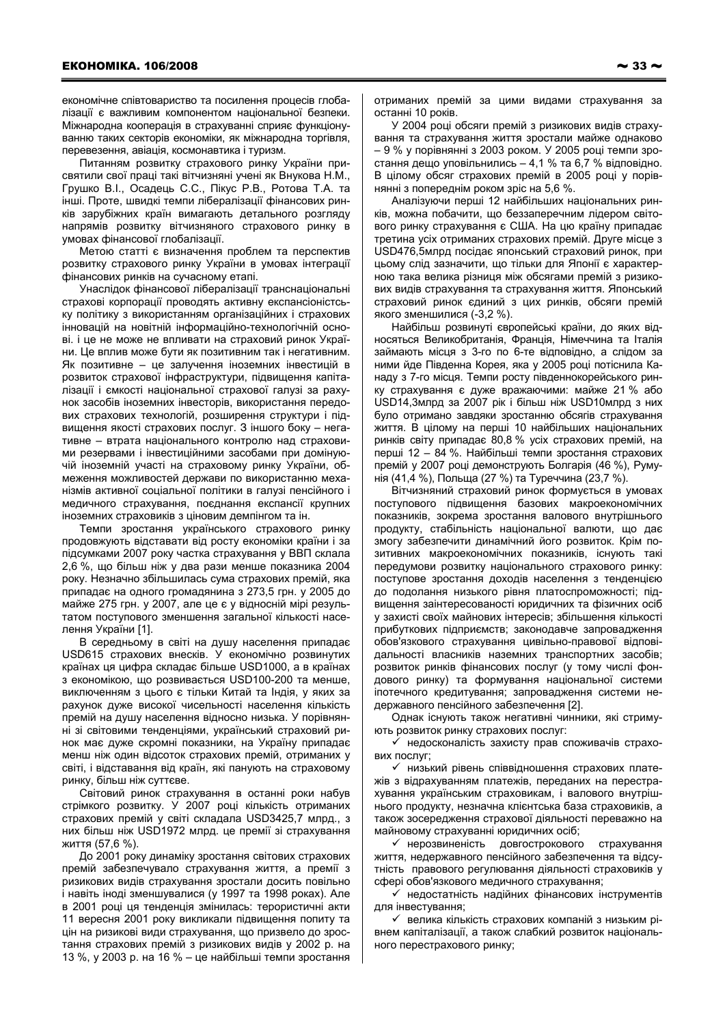економічне співтовариство та посилення процесів глобалізації є важливим компонентом національної безпеки. Міжнародна кооперація в страхуванні сприяє функціонуванню таких секторів економіки, як міжнародна торгівля, перевезення, авіація, космонавтика і туризм.

Питанням розвитку страхового ринку України присвятили свої праці такі вітчизняні учені як Внукова Н.М., Грушко В.І., Осадець С.С., Пікус Р.В., Ротова Т.А. та інші. Проте, швидкі темпи лібералізації фінансових ринків зарубіжних країн вимагають детального розгляду напрямів розвитку вітчизняного страхового ринку в умовах фінансової глобалізації.

Метою статті є визначення проблем та перспектив розвитку страхового ринку України в умовах інтеграції фінансових ринків на сучасному етапі.

Унаслідок фінансової лібералізації транснаціональні страхові корпорації проводять активну експансіоністську політику з використанням організаційних і страхових інновацій на новітній інформаційно-технологічній основі. і це не може не впливати на страховий ринок України. Це вплив може бути як позитивним так і негативним. Як позитивне - це залучення іноземних інвестицій в розвиток страхової інфраструктури, підвищення капіталізації і ємкості національної страхової галузі за рахунок засобів іноземних інвесторів, використання передових страхових технологій, розширення структури і підвищення якості страхових послуг. З іншого боку - негативне - втрата національного контролю над страховими резервами і інвестиційними засобами при домінуючій іноземній участі на страховому ринку України, обмеження можливостей держави по використанню механізмів активної соціальної політики в галузі пенсійного і медичного страхування, поєднання експансії крупних іноземних страховиків з ціновим демпінгом та ін.

Темпи зростання українського страхового ринку продовжують відставати від росту економіки країни і за підсумками 2007 року частка страхування у ВВП склала 2,6 %, що більш ніж у два рази менше показника 2004 року. Незначно збільшилась сума страхових премій, яка припадає на одного громадянина з 273,5 грн. у 2005 до майже 275 грн. у 2007, але це є у відносній мірі результатом поступового зменшення загальної кількості населення України [1].

В середньому в світі на душу населення припадає USD615 страхових внесків. У економічно розвинутих країнах ця цифра складає більше USD1000, а в країнах з економікою, що розвивається USD100-200 та менше, виключенням з цього є тільки Китай та Індія, у яких за рахунок дуже високої чисельності населення кількість премій на душу населення відносно низька. У порівнянні зі світовими тенденціями, український страховий ринок має дуже скромні показники, на Україну припадає менш ніж один відсоток страхових премій, отриманих у світі, і відставання від країн, які панують на страховому ринку, більш ніж суттєве.

Світовий ринок страхування в останні роки набув стрімкого розвитку. У 2007 році кількість отриманих страхових премій у світі складала USD3425,7 млрд., з них більш ніж USD1972 млрд. це премії зі страхування життя (57,6 %).

До 2001 року динаміку зростання світових страхових премій забезпечувало страхування життя, а премії з ризикових видів страхування зростали досить повільно і навіть іноді зменшувалися (у 1997 та 1998 роках). Але в 2001 році ця тенденція змінилась: терористичні акти 11 вересня 2001 року викликали підвищення попиту та цін на ризикові види страхування, що призвело до зростання страхових премій з ризикових видів у 2002 р. на 13 %, у 2003 р. на 16 % - це найбільші темпи зростання

отриманих премій за цими видами страхування за останні 10 років.

У 2004 році обсяги премій з ризикових видів страхування та страхування життя зростали майже однаково - 9 % у порівнянні з 2003 роком. У 2005 році темпи зростання дещо уповільнились - 4,1 % та 6,7 % відповідно. В цілому обсяг страхових премій в 2005 році у порівнянні з попереднім роком зріс на 5,6 %.

Аналізуючи перші 12 найбільших національних ринків, можна побачити, що беззаперечним лідером світового ринку страхування є США. На цю країну припадає третина усіх отриманих страхових премій. Друге місце з USD476,5млрд посідає японський страховий ринок, при цьому слід зазначити, що тільки для Японії є характерною така велика різниця між обсягами премій з ризикових видів страхування та страхування життя. Японський страховий ринок єдиний з цих ринків, обсяги премій якого зменшилися (-3,2 %).

Найбільш розвинуті європейські країни, до яких відносяться Великобританія, Франція, Німеччина та Італія займають місця з 3-го по 6-те відповідно, а слідом за ними йде Південна Корея, яка у 2005 році потіснила Канаду з 7-го місця. Темпи росту південнокорейського ринку страхування є дуже вражаючими: майже 21 % або USD14, 3млрд за 2007 рік і більш ніж USD10млрд з них було отримано завдяки зростанню обсягів страхування життя. В цілому на перші 10 найбільших національних ринків світу припадає 80,8 % усіх страхових премій, на перші 12 - 84 %. Найбільші темпи зростання страхових премій у 2007 році демонструють Болгарія (46 %), Румунія (41,4 %), Польща (27 %) та Туреччина (23,7 %).

Вітчизняний страховий ринок формується в умовах поступового підвищення базових макроекономічних показників, зокрема зростання валового внутрішнього продукту, стабільність національної валюти, що дає змогу забезпечити динамічний його розвиток. Крім позитивних макроекономічних показників, існують такі передумови розвитку національного страхового ринку: поступове зростання доходів населення з тенденцією до подолання низького рівня платоспроможності: підвищення заінтересованості юридичних та фізичних осіб у захисті своїх майнових інтересів; збільшення кількості прибуткових підприємств; законодавче запровадження обов'язкового страхування цивільно-правової відповідальності власників наземних транспортних засобів; розвиток ринків фінансових послуг (у тому числі фондового ринку) та формування національної системи іпотечного кредитування; запровадження системи недержавного пенсійного забезпечення [2].

Однак існують також негативні чинники, які стримують розвиток ринку страхових послуг:

√ недосконалість захисту прав споживачів страхо-**RUX DOCUAL** 

√ низький рівень співвідношення страхових платежів з відрахуванням платежів, переданих на перестрахування українським страховикам, і валового внутрішнього продукту, незначна клієнтська база страховиків, а також зосередження страхової діяльності переважно на майновому страхуванні юридичних осіб;

◆ нерозвиненість довгострокового страхування життя, недержавного пенсійного забезпечення та відсутність правового регулювання діяльності страховиків у сфері обов'язкового медичного страхування;

√ недостатність надійних фінансових інструментів для інвестування;

√ велика кількість страхових компаній з низьким рівнем капіталізації, а також слабкий розвиток національного перестрахового ринку;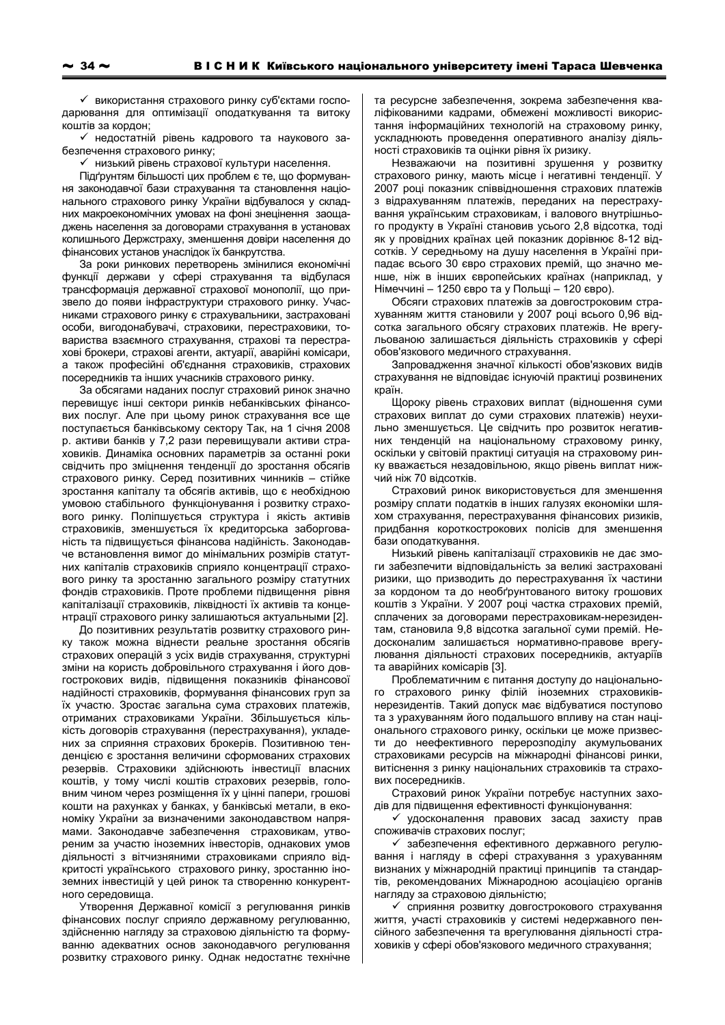$-34 \sim$ 

√ використання страхового ринку суб'єктами господарювання для оптимізації оподаткування та витоку коштів за кордон;

√ недостатній рівень кадрового та наукового забезпечення страхового ринку;

√ низький рівень страхової культури населення.

Підґрунтям більшості цих проблем є те, що формування законодавчої бази страхування та становлення національного страхового ринку України відбувалося у складних макроекономічних умовах на фоні знецінення заощаджень населення за договорами страхування в установах колишнього Держстраху, зменшення довіри населення до фінансових установ унаслідок їх банкрутства.

За роки ринкових перетворень змінилися економічні функції держави у сфері страхування та відбулася трансформація державної страхової монополії. Що призвело до появи інфраструктури страхового ринку. Учасниками страхового ринку є страхувальники, застраховані особи, вигодонабувачі, страховики, перестраховики, товариства взаємного страхування, страхові та перестрахові брокери, страхові агенти, актуарії, аварійні комісари, а також професійні об'єднання страховиків, страхових посередників та інших учасників страхового ринку.

За обсягами наданих послуг страховий ринок значно перевищує інші сектори ринків небанківських фінансових послуг. Але при цьому ринок страхування все ще поступається банківському сектору Так, на 1 січня 2008 р. активи банків у 7,2 рази перевищували активи страховиків. Динаміка основних параметрів за останні роки свідчить про зміцнення тенденції до зростання обсягів страхового ринку. Серед позитивних чинників - стійке зростання капіталу та обсягів активів, що є необхідною умовою стабільного функціонування і розвитку страхового ринку. Поліпшується структура і якість активів страховиків, зменшується їх кредиторська заборгованість та підвищується фінансова надійність. Законодавче встановлення вимог до мінімальних розмірів статутних капіталів страховиків сприяло концентрації страхового ринку та зростанню загального розміру статутних фондів страховиків. Проте проблеми підвищення рівня капіталізації страховиків, ліквідності їх активів та концентрації страхового ринку залишаються актуальными [2].

До позитивних результатів розвитку страхового ринку також можна віднести реальне зростання обсягів страхових операцій з усіх видів страхування, структурні зміни на користь добровільного страхування і його довгострокових видів. підвищення показників фінансової надійності страховиків, формування фінансових груп за їх участю. Зростає загальна сума страхових платежів, отриманих страховиками України. Збільшується кількість договорів страхування (перестрахування), укладених за сприяння страхових брокерів. Позитивною тенденцією є зростання величини сформованих страхових резервів. Страховики здійснюють інвестиції власних коштів, у тому числі коштів страхових резервів, головним чином через розміщення їх у цінні папери, грошові кошти на рахунках у банках, у банківські метали, в економіку України за визначеними законодавством напрямами. Законодавче забезпечення страховикам, утвореним за участю іноземних інвесторів, однакових умов діяльності з вітчизняними страховиками сприяло відкритості українського страхового ринку, зростанню іноземних інвестицій у цей ринок та створенню конкурентного середовища.

Утворення Державної комісії з регулювання ринків фінансових послуг сприяло державному регулюванню, здійсненню нагляду за страховою діяльністю та формуванню адекватних основ законодавчого регулювання розвитку страхового ринку. Однак недостатнє технічне та ресурсне забезпечення, зокрема забезпечення кваліфікованими кадрами, обмежені можливості використання інформаційних технологій на страховому ринку, ускладнюють проведення оперативного аналізу діяльності страховиків та оцінки рівня їх ризику.

Незважаючи на позитивні зрушення у розвитку страхового ринку, мають місце і негативні тенденції. У 2007 році показник співвідношення страхових платежів з відрахуванням платежів, переданих на перестрахування українським страховикам, і валового внутрішнього продукту в Україні становив усього 2,8 відсотка, тоді як у провідних країнах цей показник дорівнює 8-12 відсотків. У середньому на душу населення в Україні припадає всього 30 євро страхових премій. що значно менше, ніж в інших європейських країнах (наприклад, у Німеччині - 1250 євро та у Польщі - 120 євро).

Обсяги страхових платежів за довгостроковим страхуванням життя становили у 2007 році всього 0,96 відсотка загального обсягу страхових платежів. Не врегульованою залишається діяльність страховиків у сфері обов'язкового медичного страхування.

Запровадження значної кількості обов'язкових видів страхування не відповідає існуючій практиці розвинених країн.

Щороку рівень страхових виплат (відношення суми страхових виплат до суми страхових платежів) неухильно зменшується. Це свідчить про розвиток негативних тенденцій на національному страховому ринку, оскільки у світовій практиці ситуація на страховому ринку вважається незадовільною. якщо рівень виплат нижчий ніж 70 відсотків.

Страховий ринок використовується для зменшення розміру сплати податків в інших галузях економіки шляхом страхування, перестрахування фінансових ризиків, придбання короткострокових полісів для зменшення бази оподаткування.

Низький рівень капіталізації страховиків не дає змоги забезпечити відповідальність за великі застраховані ризики, що призводить до перестрахування їх частини за кордоном та до необґрунтованого витоку грошових коштів з України. У 2007 році частка страхових премій, сплачених за договорами перестраховикам-нерезидентам, становила 9,8 відсотка загальної суми премій. Недосконалим залишається нормативно-правове врегулювання діяльності страхових посередників, актуаріїв та аварійних комісарів [3].

Проблематичним є питання доступу до національнострахового ринку філій іноземних страховиківнерезидентів. Такий допуск має відбуватися поступово та з урахуванням його подальшого впливу на стан національного страхового ринку, оскільки це може призвести до неефективного перерозподілу акумульованих страховиками ресурсів на міжнародні фінансові ринки, витіснення з ринку національних страховиків та страхових посередників.

Страховий ринок України потребує наступних заходів для підвищення ефективності функціонування:

√ удосконалення правових засад захисту прав споживачів страхових послуг;

√ забезпечення ефективного державного регулювання і нагляду в сфері страхування з урахуванням визнаних у міжнародній практиці принципів та стандартів, рекомендованих Міжнародною асоціацією органів нагляду за страховою діяльністю;

√ сприяння розвитку довгострокового страхування життя, участі страховиків у системі недержавного пенсійного забезпечення та врегулювання діяльності страховиків у сфері обов'язкового медичного страхування;